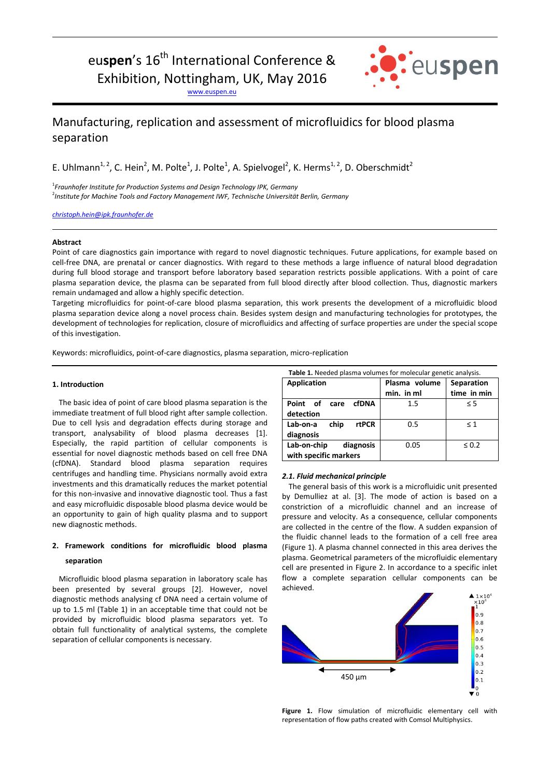# eu**spen**'s 16<sup>th</sup> International Conference & Exhibition, Nottingham, UK, May 2016



[www.euspen.eu](http://www.euspen.eu/)

## Manufacturing, replication and assessment of microfluidics for blood plasma separation

E. Uhlmann<sup>1, 2</sup>, C. Hein<sup>2</sup>, M. Polte<sup>1</sup>, J. Polte<sup>1</sup>, A. Spielvogel<sup>2</sup>, K. Herms<sup>1, 2</sup>, D. Oberschmidt<sup>2</sup>

1 *Fraunhofer Institute for Production Systems and Design Technology IPK, Germany* 2 *Institute for Machine Tools and Factory Management IWF, Technische Universität Berlin, Germany*

*[christoph.hein@ipk.fraunhofer.de](mailto:christoph.hein@ipk.fraunhofer.de)*

#### **Abstract**

Point of care diagnostics gain importance with regard to novel diagnostic techniques. Future applications, for example based on cell-free DNA, are prenatal or cancer diagnostics. With regard to these methods a large influence of natural blood degradation during full blood storage and transport before laboratory based separation restricts possible applications. With a point of care plasma separation device, the plasma can be separated from full blood directly after blood collection. Thus, diagnostic markers remain undamaged and allow a highly specific detection.

Targeting microfluidics for point-of-care blood plasma separation, this work presents the development of a microfluidic blood plasma separation device along a novel process chain. Besides system design and manufacturing technologies for prototypes, the development of technologies for replication, closure of microfluidics and affecting of surface properties are under the special scope of this investigation.

Keywords: microfluidics, point-of-care diagnostics, plasma separation, micro-replication

#### **1. Introduction**

The basic idea of point of care blood plasma separation is the immediate treatment of full blood right after sample collection. Due to cell lysis and degradation effects during storage and transport, analysability of blood plasma decreases [1]. Especially, the rapid partition of cellular components is essential for novel diagnostic methods based on cell free DNA (cfDNA). Standard blood plasma separation requires centrifuges and handling time. Physicians normally avoid extra investments and this dramatically reduces the market potential for this non-invasive and innovative diagnostic tool. Thus a fast and easy microfluidic disposable blood plasma device would be an opportunity to gain of high quality plasma and to support new diagnostic methods.

### **2. Framework conditions for microfluidic blood plasma separation**

Microfluidic blood plasma separation in laboratory scale has been presented by several groups [2]. However, novel diagnostic methods analysing cf DNA need a certain volume of up to 1.5 ml (Table 1) in an acceptable time that could not be provided by microfluidic blood plasma separators yet. To obtain full functionality of analytical systems, the complete separation of cellular components is necessary.

| <b>Table 1.</b> Needed plasma volumes for molecular genetic analysis. |                             |                           |
|-----------------------------------------------------------------------|-----------------------------|---------------------------|
| <b>Application</b>                                                    | Plasma volume<br>min. in ml | Separation<br>time in min |
| cfDNA<br>Point of<br>care<br>detection                                | $1.5\,$                     | $\leq$ 5                  |
| Lab-on-a<br>chip<br><b>rtPCR</b><br>diagnosis                         | 0.5                         | < 1                       |
| Lab-on-chip<br>diagnosis<br>with specific markers                     | 0.05                        | $\leq 0.2$                |

#### *2.1. Fluid mechanical principle*

The general basis of this work is a microfluidic unit presented by Demulliez at al. [3]. The mode of action is based on a constriction of a microfluidic channel and an increase of pressure and velocity. As a consequence, cellular components are collected in the centre of the flow. A sudden expansion of the fluidic channel leads to the formation of a cell free area (Figure 1). A plasma channel connected in this area derives the plasma. Geometrical parameters of the microfluidic elementary cell are presented in Figure 2. In accordance to a specific inlet flow a complete separation cellular components can be achieved.



**Figure 1.** Flow simulation of microfluidic elementary cell with representation of flow paths created with Comsol Multiphysics.